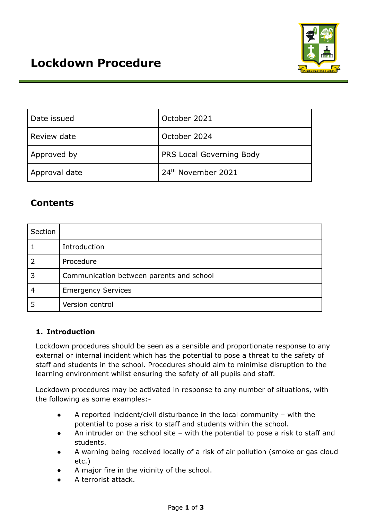

| Date issued   | October 2021                   |  |
|---------------|--------------------------------|--|
| Review date   | October 2024                   |  |
| Approved by   | PRS Local Governing Body       |  |
| Approval date | 24 <sup>th</sup> November 2021 |  |

# **Contents**

| Section |                                          |  |
|---------|------------------------------------------|--|
|         | Introduction                             |  |
|         | Procedure                                |  |
|         | Communication between parents and school |  |
| 4       | <b>Emergency Services</b>                |  |
|         | Version control                          |  |

## **1. Introduction**

Lockdown procedures should be seen as a sensible and proportionate response to any external or internal incident which has the potential to pose a threat to the safety of staff and students in the school. Procedures should aim to minimise disruption to the learning environment whilst ensuring the safety of all pupils and staff.

Lockdown procedures may be activated in response to any number of situations, with the following as some examples:-

- A reported incident/civil disturbance in the local community with the potential to pose a risk to staff and students within the school.
- An intruder on the school site with the potential to pose a risk to staff and students.
- A warning being received locally of a risk of air pollution (smoke or gas cloud etc.)
- A major fire in the vicinity of the school.
- A terrorist attack.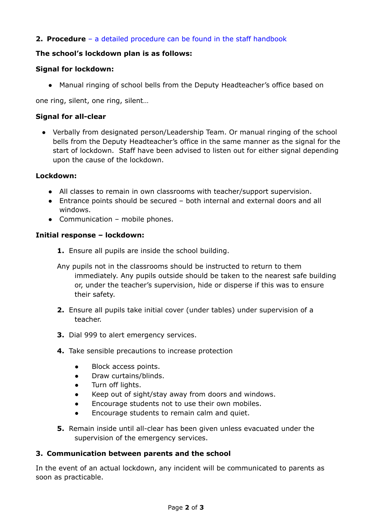## **2. Procedure** – a detailed [procedure](https://docs.google.com/document/d/1vmdjVilePXLAGK53Ua-rqfZgHglD8qgSpPO9y98361E/edit?usp=sharing) can be found in the staff handbook

## **The school's lockdown plan is as follows:**

## **Signal for lockdown:**

● Manual ringing of school bells from the Deputy Headteacher's office based on

one ring, silent, one ring, silent…

## **Signal for all-clear**

● Verbally from designated person/Leadership Team. Or manual ringing of the school bells from the Deputy Headteacher's office in the same manner as the signal for the start of lockdown. Staff have been advised to listen out for either signal depending upon the cause of the lockdown.

#### **Lockdown:**

- All classes to remain in own classrooms with teacher/support supervision.
- Entrance points should be secured both internal and external doors and all windows.
- Communication mobile phones.

#### **Initial response – lockdown:**

- **1.** Ensure all pupils are inside the school building.
- Any pupils not in the classrooms should be instructed to return to them immediately. Any pupils outside should be taken to the nearest safe building or, under the teacher's supervision, hide or disperse if this was to ensure their safety.
- **2.** Ensure all pupils take initial cover (under tables) under supervision of a teacher.
- **3.** Dial 999 to alert emergency services.
- **4.** Take sensible precautions to increase protection
	- Block access points.
	- Draw curtains/blinds.
	- Turn off lights.
	- Keep out of sight/stay away from doors and windows.
	- Encourage students not to use their own mobiles.
	- Encourage students to remain calm and quiet.
- **5.** Remain inside until all-clear has been given unless evacuated under the supervision of the emergency services.

#### **3. Communication between parents and the school**

In the event of an actual lockdown, any incident will be communicated to parents as soon as practicable.